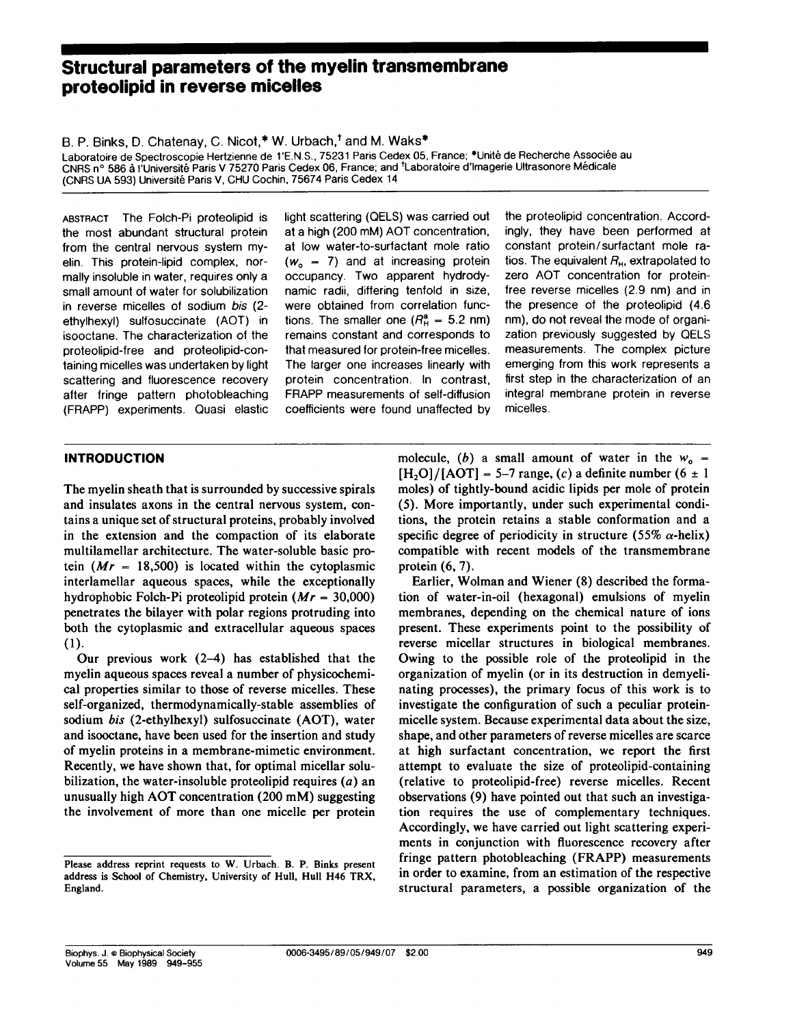# Structural parameters of the myelin transmembrane proteolipid in reverse micelles

B. P. Binks, D. Chatenay, C. Nicot,\* W. Urbach,<sup>†</sup> and M. Waks\*

Laboratoire de Spectroscopie Hertzienne de 1'E.N.S., 75231 Paris Cedex 05, France; \*Unité de Recherche Associée au CNRS n° 586 à l'Université Paris V 75270 Paris Cedex 06, France; and <sup>†</sup>Laboratoire d'Imagerie Ultrasonore Médicale (CNRS UA 593) Université Paris V, CHU Cochin, 75674 Paris Cedex 14

ABSTRACT The Folch-Pi proteolipid is the most abundant structural protein from the central nervous system myelin. This protein-lipid complex, normally insoluble in water, requires only a small amount of water for solubilization in reverse micelles of sodium bis (2 ethylhexyl) sulfosuccinate (AOT) in isooctane. The characterization of the proteolipid-free and proteolipid-containing micelles was undertaken by light scattering and fluorescence recovery after fringe pattern photobleaching (FRAPP) experiments. Quasi elastic light scattering (QELS) was carried out at a high (200 mM) AOT concentration, at low water-to-surfactant mole ratio  $(w_0 = 7)$  and at increasing protein occupancy. Two apparent hydrodynamic radii, differing tenfold in size, were obtained from correlation functions. The smaller one  $(R<sub>H</sub><sup>a</sup> = 5.2$  nm) remains constant and corresponds to that measured for protein-free micelles. The larger one increases linearly with protein concentration. In contrast, FRAPP measurements of self-diffusion coefficients were found unaffected by

the proteolipid concentration. Accordingly, they have been performed at constant protein/surfactant mole ratios. The equivalent  $R_{\rm H}$ , extrapolated to zero AOT concentration for proteinfree reverse micelles (2.9 nm) and in the presence of the proteolipid (4.6 nm), do not reveal the mode of organization previously suggested by QELS measurements. The complex picture emerging from this work represents a first step in the characterization of an integral membrane protein in reverse micelles.

### INTRODUCTION

The myelin sheath that is surrounded by successive spirals and insulates axons in the central nervous system, contains a unique set of structural proteins, probably involved in the extension and the compaction of its elaborate multilamellar architecture. The water-soluble basic protein  $(Mr = 18,500)$  is located within the cytoplasmic interlamellar aqueous spaces, while the exceptionally hydrophobic Folch-Pi proteolipid protein  $(Mr = 30,000)$ penetrates the bilayer with polar regions protruding into both the cytoplasmic and extracellular aqueous spaces (1).

Our previous work  $(2-4)$  has established that the myelin aqueous spaces reveal a number of physicochemical properties similar to those of reverse micelles. These self-organized, thermodynamically-stable assemblies of sodium bis (2-ethylhexyl) sulfosuccinate (AOT), water and isooctane, have been used for the insertion and study of myelin proteins in a membrane-mimetic environment. Recently, we have shown that, for optimal micellar solubilization, the water-insoluble proteolipid requires  $(a)$  an unusually high AOT concentration (200 mM) suggesting the involvement of more than one micelle per protein

molecule, (b) a small amount of water in the  $w_0$  =  $[H<sub>2</sub>O]/[AOT] = 5-7$  range, (c) a definite number (6  $\pm$  1 moles) of tightly-bound acidic lipids per mole of protein (5). More importantly, under such experimental conditions, the protein retains a stable conformation and a specific degree of periodicity in structure (55%  $\alpha$ -helix) compatible with recent models of the transmembrane protein (6, 7).

Earlier, Wolman and Wiener (8) described the formation of water-in-oil (hexagonal) emulsions of myelin membranes, depending on the chemical nature of ions present. These experiments point to the possibility of reverse micellar structures in biological membranes. Owing to the possible role of the proteolipid in the organization of myelin (or in its destruction in demyelinating processes), the primary focus of this work is to investigate the configuration of such a peculiar proteinmicelle system. Because experimental data about the size, shape, and other parameters of reverse micelles are scarce at high surfactant concentration, we report the first attempt to evaluate the size of proteolipid-containing (relative to proteolipid-free) reverse micelles. Recent observations (9) have pointed out that such an investigation requires the use of complementary techniques. Accordingly, we have carried out light scattering experiments in conjunction with fluorescence recovery after fringe pattern photobleaching (FRAPP) measurements in order to examine, from an estimation of the respective structural parameters, a possible organization of the

Please address reprint requests to W. Urbach. B. P. Binks present address is School of Chemistry, University of Hull, Hull H46 TRX, England.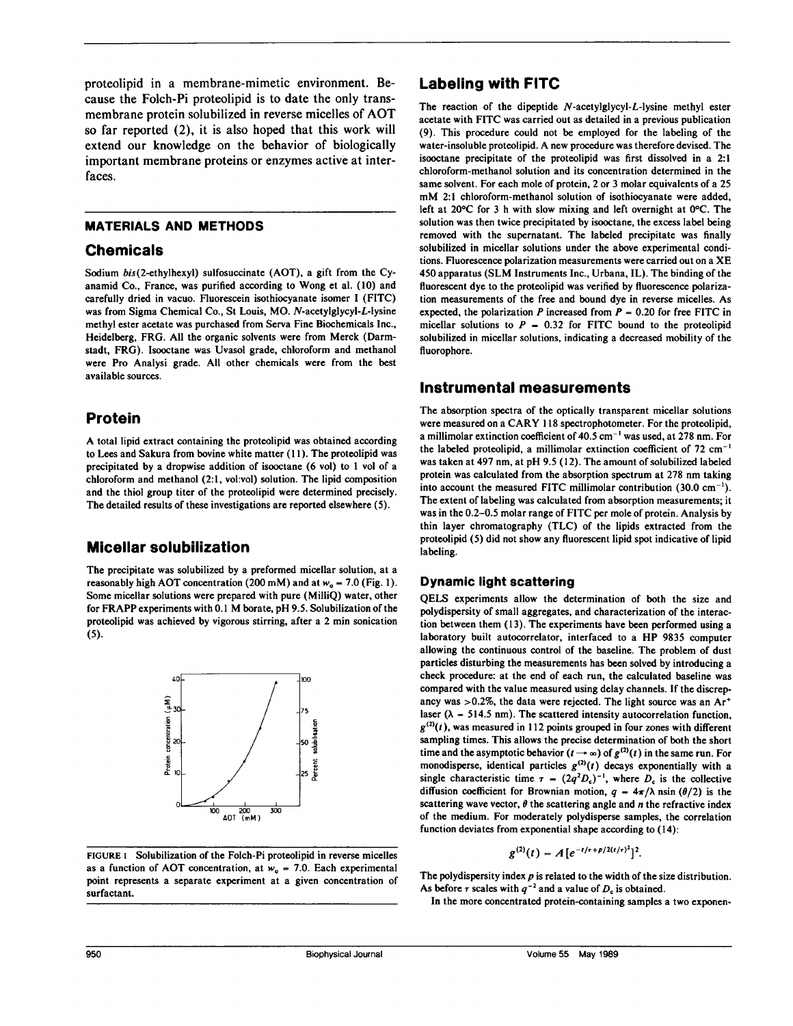proteolipid in a membrane-mimetic environment. Because the Folch-Pi proteolipid is to date the only transmembrane protein solubilized in reverse micelles of AOT so far reported (2), it is also hoped that this work will extend our knowledge on the behavior of biologically important membrane proteins or enzymes active at interfaces.

### MATERIALS AND METHODS

## Chemicals

Sodium bis(2-ethylhexyl) sulfosuccinate (AOT), a gift from the Cyanamid Co., France, was purified according to Wong et al. (10) and carefully dried in vacuo. Fluorescein isothiocyanate isomer <sup>I</sup> (FITC) was from Sigma Chemical Co., St Louis, MO. N-acetylglycyl-L-lysine methyl ester acetate was purchased from Serva Fine Biochemicals Inc., Heidelberg, FRG. All the organic solvents were from Merck (Darmstadt, FRG). Isooctane was Uvasol grade, chloroform and methanol were Pro Analysi grade. All other chemicals were from the best available sources.

# Protein

A total lipid extract containing the proteolipid was obtained according to Lees and Sakura from bovine white matter (11). The proteolipid was precipitated by a dropwise addition of isooctane (6 vol) to <sup>I</sup> vol of a chloroform and methanol (2:1, vol:vol) solution. The lipid composition and the thiol group titer of the proteolipid were determined precisely. The detailed results of these investigations are reported elsewhere (5).

# Micellar solubilization

The precipitate was solubilized by a preformed micellar solution, at a reasonably high AOT concentration (200 mM) and at  $w_0 = 7.0$  (Fig. 1). Some micellar solutions were prepared with pure (MilliQ) water, other for FRAPP experiments with 0.1 M borate, pH 9.5. Solubilization of the proteolipid was achieved by vigorous stirring, after a 2 min sonication (5).



FIGURE <sup>1</sup> Solubilization of the Folch-Pi proteolipid in reverse micelles as a function of AOT concentration, at  $w_0 = 7.0$ . Each experimental point represents a separate experiment at a given concentration of surfactant.

## Labeling with FITC

The reaction of the dipeptide N-acetylglycyl-L-lysine methyl ester acetate with FITC was carried out as detailed in a previous publication (9). This procedure could not be employed for the labeling of the water-insoluble proteolipid. A new procedure was therefore devised. The isooctane precipitate of the proteolipid was first dissolved in a 2:1 chloroform-methanol solution and its concentration determined in the same solvent. For each mole of protein, 2 or <sup>3</sup> molar equivalents of a 25 mM 2:1 chloroform-methanol solution of isothiocyanate were added, left at  $20^{\circ}$ C for 3 h with slow mixing and left overnight at  $0^{\circ}$ C. The solution was then twice precipitated by isooctane, the excess label being removed with the supernatant. The labeled precipitate was finally solubilized in micellar solutions under the above experimental conditions. Fluorescence polarization measurements were carried out on <sup>a</sup> XE 450 apparatus (SLM Instruments Inc., Urbana, IL). The binding of the fluorescent dye to the proteolipid was verified by fluorescence polarization measurements of the free and bound dye in reverse micelles. As expected, the polarization P increased from  $P = 0.20$  for free FITC in micellar solutions to  $P = 0.32$  for FITC bound to the proteolipid solubilized in micellar solutions, indicating a decreased mobility of the fluorophore.

## Instrumental measurements

The absorption spectra of the optically transparent micellar solutions were measured on <sup>a</sup> CARY <sup>118</sup> spectrophotometer. For the proteolipid, a millimolar extinction coefficient of  $40.5$  cm<sup>-1</sup> was used, at 278 nm. For the labeled proteolipid, a millimolar extinction coefficient of  $72 \text{ cm}^{-1}$ was taken at 497 nm, at pH 9.5 (12). The amount of solubilized labeled protein was calculated from the absorption spectrum at 278 nm taking into account the measured FITC millimolar contribution  $(30.0 \text{ cm}^{-1})$ . The extent of labeling was calculated from absorption measurements; it was in the 0.2-0.5 molar range of FITC per mole of protein. Analysis by thin layer chromatography (TLC) of the lipids extracted from the proteolipid (5) did not show any fluorescent lipid spot indicative of lipid labeling.

## Dynamic light scattering

QELS experiments allow the determination of both the size and polydispersity of small aggregates, and characterization of the interaction between them (13). The experiments have been performed using a laboratory built autocorrelator, interfaced to <sup>a</sup> HP 9835 computer allowing the continuous control of the baseline. The problem of dust particles disturbing the measurements has been solved by introducing a check procedure: at the end of each run, the calculated baseline was compared with the value measured using delay channels. If the discrepancy was  $>0.2\%$ , the data were rejected. The light source was an Ar<sup>+</sup> laser ( $\lambda$  = 514.5 nm). The scattered intensity autocorrelation function,  $g^{(2)}(t)$ , was measured in 112 points grouped in four zones with different sampling times. This allows the precise determination of both the short time and the asymptotic behavior  $(t \rightarrow \infty)$  of  $g^{(2)}(t)$  in the same run. For monodisperse, identical particles  $g^{(2)}(t)$  decays exponentially with a single characteristic time  $\tau = (2q^2D_c)^{-1}$ , where  $D_c$  is the collective diffusion coefficient for Brownian motion,  $q = 4\pi/\lambda$  nsin ( $\theta/2$ ) is the scattering wave vector,  $\theta$  the scattering angle and n the refractive index of the medium. For moderately polydisperse samples, the correlation function deviates from exponential shape according to (14):

$$
g^{(2)}(t) = A\big[e^{-t/\tau + p/2(t/\tau)^2}\big]^2.
$$

The polydispersity index  $p$  is related to the width of the size distribution. As before  $\tau$  scales with  $q^{-2}$  and a value of  $D_c$  is obtained.

In the more concentrated protein-containing samples a two exponen-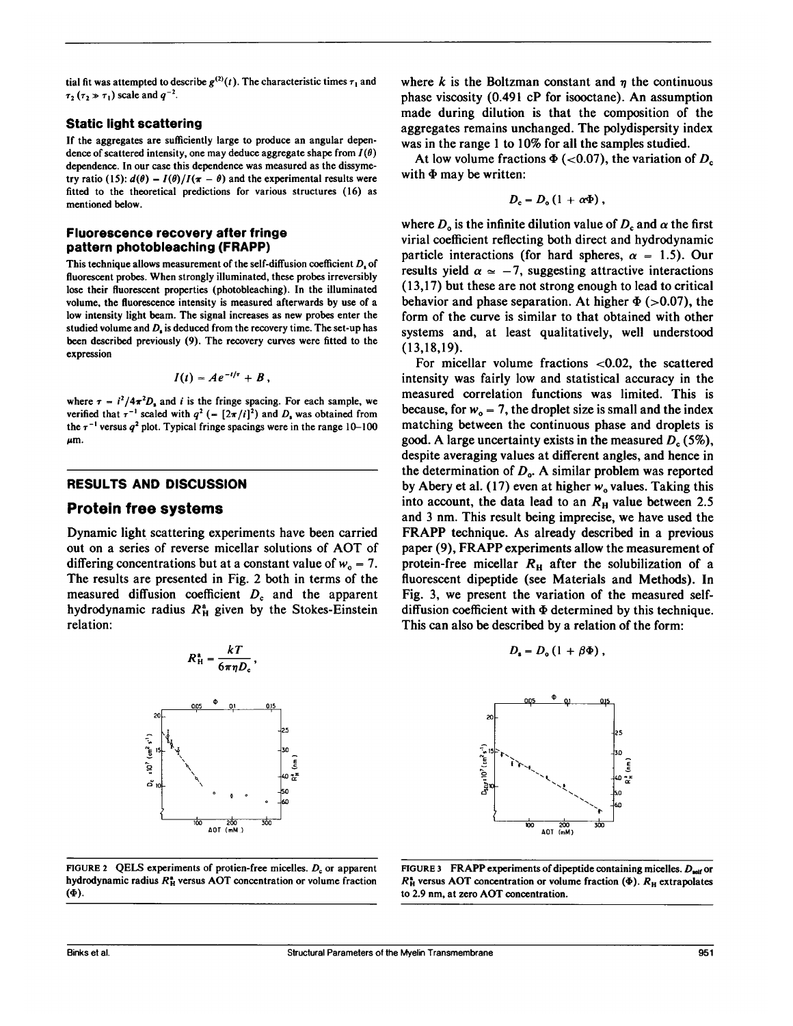tial fit was attempted to describe  $g^{(2)}(t)$ . The characteristic times  $\tau_1$  and  $\tau_2$  ( $\tau_2 \gg \tau_1$ ) scale and  $q^{-2}$ .

#### Static light scattering

If the aggregates are sufficiently large to produce an angular dependence of scattered intensity, one may deduce aggregate shape from  $I(\theta)$ dependence. In our case this dependence was measured as the dissymetry ratio (15):  $d(\theta) = I(\theta)/I(\pi - \theta)$  and the experimental results were fitted to the theoretical predictions for various structures (16) as mentioned below.

#### Fluorescence recovery after fringe pattern photobleaching (FRAPP)

This technique allows measurement of the self-diffusion coefficient  $D<sub>s</sub>$  of fluorescent probes. When strongly illuminated, these probes irreversibly lose their fluorescent properties (photobleaching). In the illuminated volume, the fluorescence intensity is measured afterwards by use of a low intensity light beam. The signal increases as new probes enter the studied volume and  $D<sub>s</sub>$  is deduced from the recovery time. The set-up has been described previously (9). The recovery curves were fitted to the expression

$$
I(t) = Ae^{-t/\tau} + B,
$$

where  $\tau = i^2/4\pi^2D_1$  and i is the fringe spacing. For each sample, we verified that  $\tau^{-1}$  scaled with  $q^2$  (=  $[2\pi/i]^2$ ) and  $D<sub>s</sub>$  was obtained from the  $\tau^{-1}$  versus  $q^2$  plot. Typical fringe spacings were in the range 10-100 μm.

#### RESULTS AND DISCUSSION

#### Protein free systems

Dynamic light scattering experiments have been carried out on <sup>a</sup> series of reverse micellar solutions of AOT of differing concentrations but at a constant value of  $w_0 = 7$ . The results are presented in Fig. 2 both in terms of the measured diffusion coefficient  $D<sub>c</sub>$  and the apparent hydrodynamic radius  $R_H^a$  given by the Stokes-Einstein relation:

> kT  $\sigma\pi\eta\boldsymbol{\nu}_\mathrm{c}$



FIGURE 2 QELS experiments of protien-free micelles.  $D_c$  or apparent hydrodynamic radius  $R_H^*$  versus AOT concentration or volume fraction (4').

where k is the Boltzman constant and  $\eta$  the continuous phase viscosity (0.491 cP for isooctane). An assumption made during dilution is that the composition of the aggregates remains unchanged. The polydispersity index was in the range <sup>1</sup> to 10% for all the samples studied.

At low volume fractions  $\Phi$  (<0.07), the variation of  $D_c$ with  $\Phi$  may be written:

$$
D_{\rm c}=D_{\rm o}\left(1\,+\,\alpha\Phi\right)\,,
$$

where  $D_0$  is the infinite dilution value of  $D_c$  and  $\alpha$  the first virial coefficient reflecting both direct and hydrodynamic particle interactions (for hard spheres,  $\alpha = 1.5$ ). Our results yield  $\alpha \approx -7$ , suggesting attractive interactions (13,17) but these are not strong enough to lead to critical behavior and phase separation. At higher  $\Phi$  (>0.07), the form of the curve is similar to that obtained with other systems and, at least qualitatively, well understood (13,18,19).

For micellar volume fractions <0.02, the scattered intensity was fairly low and statistical accuracy in the measured correlation functions was limited. This is because, for  $w_0 = 7$ , the droplet size is small and the index matching between the continuous phase and droplets is good. A large uncertainty exists in the measured  $D_c$  (5%), despite averaging values at different angles, and hence in the determination of  $D_{o}$ . A similar problem was reported by Abery et al. (17) even at higher  $w_0$  values. Taking this into account, the data lead to an  $R<sub>H</sub>$  value between 2.5 and 3 nm. This result being imprecise, we have used the FRAPP technique. As already described in <sup>a</sup> previous paper (9), FRAPP experiments allow the measurement of protein-free micellar  $R<sub>H</sub>$  after the solubilization of a fluorescent dipeptide (see Materials and Methods). In Fig. 3, we present the variation of the measured selfdiffusion coefficient with  $\Phi$  determined by this technique. This can also be described by a relation of the form:

$$
D_{\rm s}=D_{\rm o}(1+\beta\Phi)\,,
$$



FIGURE 3 FRAPP experiments of dipeptide containing micelles.  $D_{\text{self}}$  or  $R_H^*$  versus AOT concentration or volume fraction ( $\Phi$ ).  $R_H$  extrapolates to 2.9 nm, at zero AOT concentration.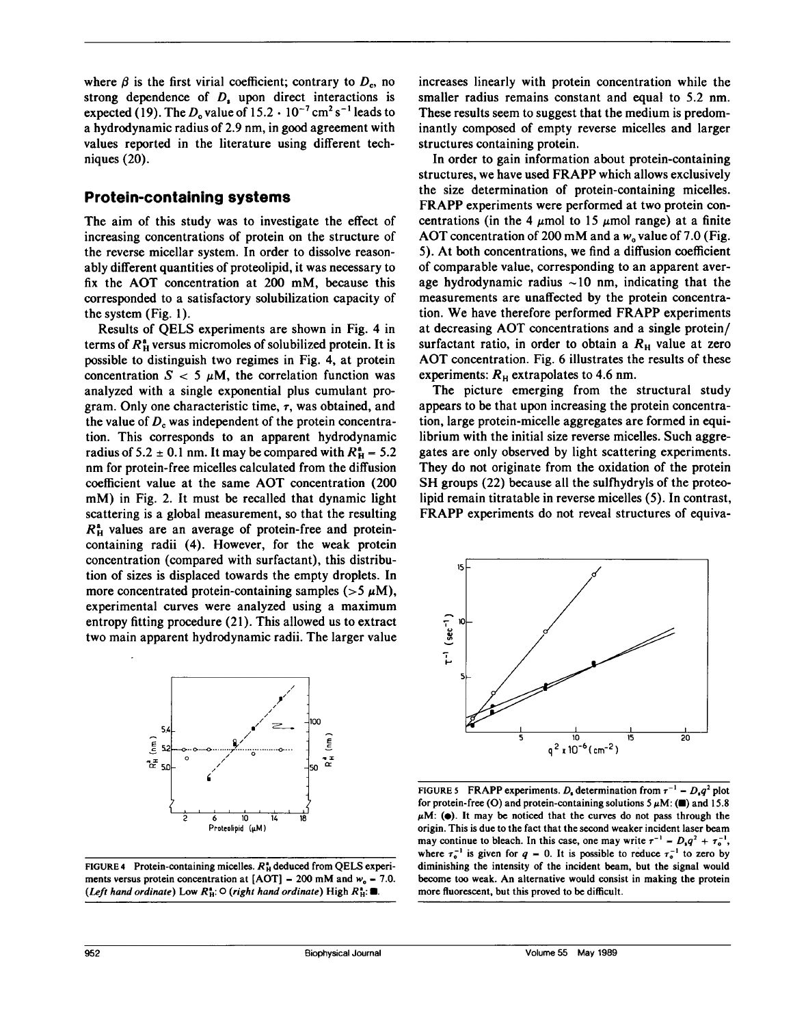where  $\beta$  is the first virial coefficient; contrary to  $D_c$ , no strong dependence of  $D<sub>s</sub>$  upon direct interactions is expected (19). The  $D_0$  value of  $15.2 \cdot 10^{-7}$  cm<sup>2</sup> s<sup>-1</sup> leads to a hydrodynamic radius of 2.9 nm, in good agreement with values reported in the literature using different techniques (20).

## Protein-containing systems

The aim of this study was to investigate the effect of increasing concentrations of protein on the structure of the reverse micellar system. In order to dissolve reasonably different quantities of proteolipid, it was necessary to fix the AOT concentration at 200 mM, because this corresponded to a satisfactory solubilization capacity of the system (Fig. 1).

Results of QELS experiments are shown in Fig. 4 in terms of  $R_{\rm H}^{\rm a}$  versus micromoles of solubilized protein. It is possible to distinguish two regimes in Fig. 4, at protein concentration  $S < 5 \mu M$ , the correlation function was analyzed with a single exponential plus cumulant program. Only one characteristic time,  $\tau$ , was obtained, and the value of  $D<sub>c</sub>$  was independent of the protein concentration. This corresponds to an apparent hydrodynamic radius of 5.2  $\pm$  0.1 nm. It may be compared with  $R_H^a = 5.2$ nm for protein-free micelles calculated from the diffusion coefficient value at the same AOT concentration (200 mM) in Fig. 2. It must be recalled that dynamic light scattering is a global measurement, so that the resulting  $R_{\rm H}^{\rm a}$  values are an average of protein-free and proteincontaining radii (4). However, for the weak protein concentration (compared with surfactant), this distribution of sizes is displaced towards the empty droplets. In more concentrated protein-containing samples ( $>5 \mu M$ ), experimental curves were analyzed using a maximum entropy fitting procedure (21). This allowed us to extract two main apparent hydrodynamic radii. The larger value



FIGURE 4 Protein-containing micelles.  $R_H^*$  deduced from QELS experiments versus protein concentration at  $[ACT] = 200$  mM and  $w_0 = 7.0$ . (Left hand ordinate) Low  $R_H^{\bullet}$ :  $\circ$  (right hand ordinate) High  $R_H^{\bullet}$ :  $\blacksquare$ .

increases linearly with protein concentration while the smaller radius remains constant and equal to 5.2 nm. These results seem to suggest that the medium is predominantly composed of empty reverse micelles and larger structures containing protein.

In order to gain information about protein-containing structures, we have used FRAPP which allows exclusively the size determination of protein-containing micelles. FRAPP experiments were performed at two protein concentrations (in the 4  $\mu$ mol to 15  $\mu$ mol range) at a finite AOT concentration of 200 mM and a  $w_0$  value of 7.0 (Fig. 5). At both concentrations, we find a diffusion coefficient of comparable value, corresponding to an apparent average hydrodynamic radius  $\sim 10$  nm, indicating that the measurements are unaffected by the protein concentration. We have therefore performed FRAPP experiments at decreasing AOT concentrations and <sup>a</sup> single protein/ surfactant ratio, in order to obtain a  $R<sub>H</sub>$  value at zero AOT concentration. Fig. <sup>6</sup> illustrates the results of these experiments:  $R<sub>H</sub>$  extrapolates to 4.6 nm.

The picture emerging from the structural study appears to be that upon increasing the protein concentration, large protein-micelle aggregates are formed in equilibrium with the initial size reverse micelles. Such aggregates are only observed by light scattering experiments. They do not originate from the oxidation of the protein SH groups (22) because all the sulfhydryls of the proteolipid remain titratable in reverse micelles (5). In contrast, FRAPP experiments do not reveal structures of equiva-



FIGURE 5 FRAPP experiments. D<sub>r</sub> determination from  $\tau^{-1} = D_{\rm n}q^2$  plot for protein-free (O) and protein-containing solutions  $5 \mu M$ : ( $\blacksquare$ ) and 15.8  $\mu$ M: ( $\bullet$ ). It may be noticed that the curves do not pass through the origin. This is due to the fact that the second weaker incident laser beam may continue to bleach. In this case, one may write  $\tau^{-1} = D_1 q^2 + \tau_0^{-1}$ , where  $\tau_o^{-1}$  is given for  $q = 0$ . It is possible to reduce  $\tau_o^{-1}$  to zero by diminishing the intensity of the incident beam, but the signal would become too weak. An alternative would consist in making the protein more fluorescent, but this proved to be difficult.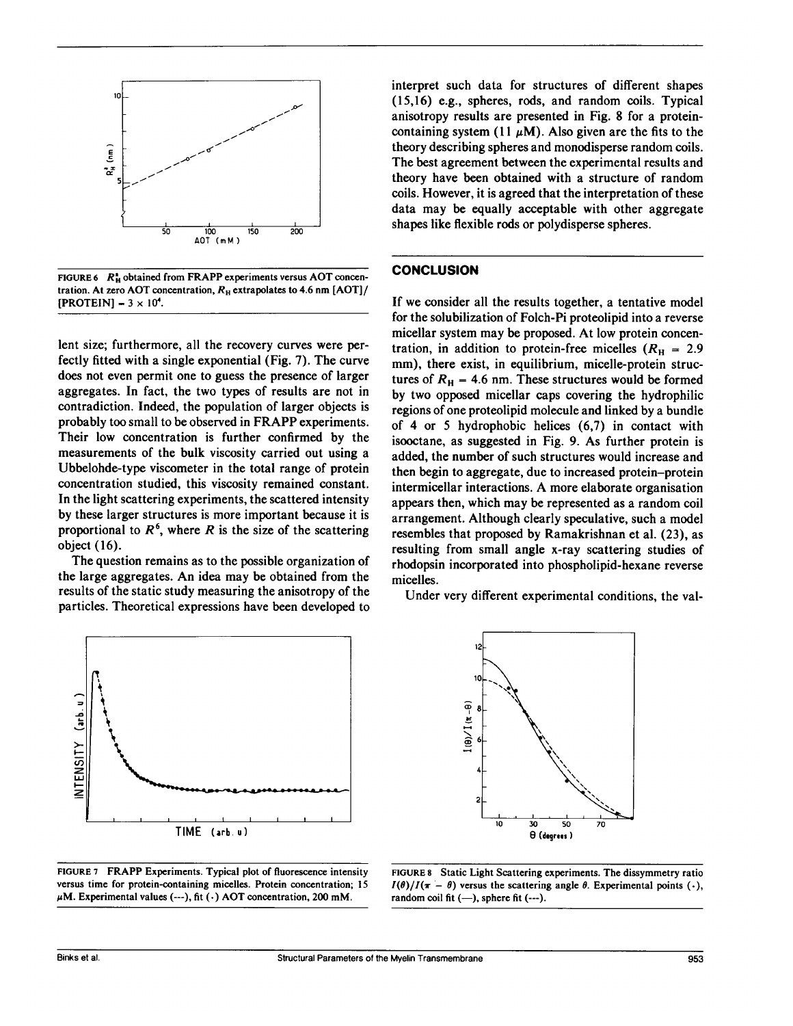

FIGURE 6  $R_H^*$  obtained from FRAPP experiments versus AOT concentration. At zero AOT concentration,  $R_H$  extrapolates to 4.6 nm [AOT]/  $[PROTEIN] - 3 \times 10^4$ .

lent size; furthermore, all the recovery curves were perfectly fitted with a single exponential (Fig. 7). The curve does not even permit one to guess the presence of larger aggregates. In fact, the two types of results are not in contradiction. Indeed, the population of larger objects is probably too small to be observed in FRAPP experiments. Their low concentration is further confirmed by the measurements of the bulk viscosity carried out using a Ubbelohde-type viscometer in the total range of protein concentration studied, this viscosity remained constant. In the light scattering experiments, the scattered intensity by these larger structures is more important because it is proportional to  $R^6$ , where R is the size of the scattering object (16).

The question remains as to the possible organization of the large aggregates. An idea may be obtained from the results of the static study measuring the anisotropy of the particles. Theoretical expressions have been developed to





interpret such data for structures of different shapes (15,16) e.g., spheres, rods, and random coils. Typical anisotropy results are presented in Fig. 8 for a proteincontaining system (11  $\mu$ M). Also given are the fits to the theory describing spheres and monodisperse random coils. The best agreement between the experimental results and theory have been obtained with a structure of random coils. However, it is agreed that the interpretation of these data may be equally acceptable with other aggregate shapes like flexible rods or polydisperse spheres.

#### **CONCLUSION**

If we consider all the results together, a tentative model for the solubilization of Folch-Pi proteolipid into a reverse micellar system may be proposed. At low protein concentration, in addition to protein-free micelles ( $R<sub>H</sub> = 2.9$ ) mm), there exist, in equilibrium, micelle-protein structures of  $R_H = 4.6$  nm. These structures would be formed by two opposed micellar caps covering the hydrophilic regions of one proteolipid molecule and linked by a bundle of 4 or 5 hydrophobic helices (6,7) in contact with isooctane, as suggested in Fig. 9. As further protein is added, the number of such structures would increase and then begin to aggregate, due to increased protein-protein intermicellar interactions. A more elaborate organisation appears then, which may be represented as a random coil arrangement. Although clearly speculative, such a model resembles that proposed by Ramakrishnan et al. (23), as resulting from small angle x-ray scattering studies of rhodopsin incorporated into phospholipid-hexane reverse micelles.

Under very different experimental conditions, the val-



FIGURE <sup>8</sup> Static Light Scattering experiments. The dissymmetry ratio  $I(\theta)/I(\pi - \theta)$  versus the scattering angle  $\theta$ . Experimental points (.), random coil fit  $(-)$ , sphere fit  $(-)$ .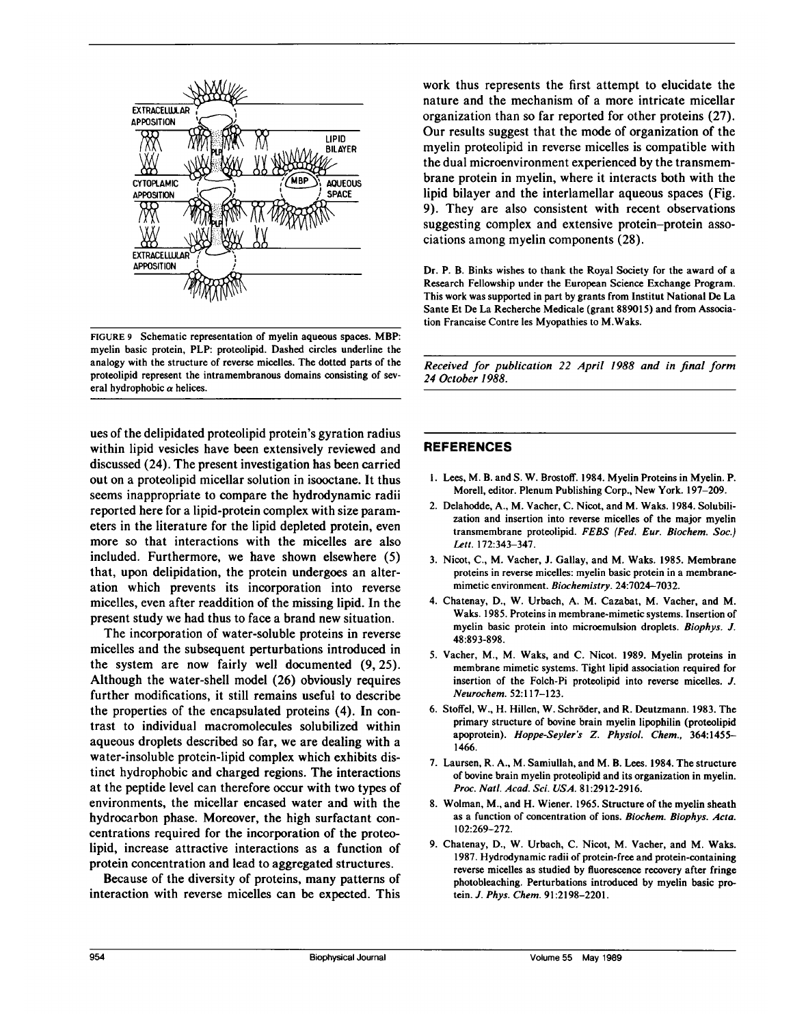

FIGURE <sup>9</sup> Schematic representation of myelin aqueous spaces. MBP: myelin basic protein, PLP: proteolipid. Dashed circles underline the analogy with the structure of reverse micelles. The dotted parts of the proteolipid represent the intramembranous domains consisting of several hydrophobic  $\alpha$  helices.

ues of the delipidated proteolipid protein's gyration radius within lipid vesicles have been extensively reviewed and discussed (24). The present investigation has been carried out on a proteolipid micellar solution in isooctane. It thus seems inappropriate to compare the hydrodynamic radii reported here for a lipid-protein complex with size parameters in the literature for the lipid depleted protein, even more so that interactions with the micelles are also included. Furthermore, we have shown elsewhere (5) that, upon delipidation, the protein undergoes an alteration which prevents its incorporation into reverse micelles, even after readdition of the missing lipid. In the present study we had thus to face a brand new situation.

The incorporation of water-soluble proteins in reverse micelles and the subsequent perturbations introduced in the system are now fairly well documented (9, 25). Although the water-shell model (26) obviously requires further modifications, it still remains useful to describe the properties of the encapsulated proteins (4). In contrast to individual macromolecules solubilized within aqueous droplets described so far, we are dealing with a water-insoluble protein-lipid complex which exhibits distinct hydrophobic and charged regions. The interactions at the peptide level can therefore occur with two types of environments, the micellar encased water and with the hydrocarbon phase. Moreover, the high surfactant concentrations required for the incorporation of the proteolipid, increase attractive interactions as a function of protein concentration and lead to aggregated structures.

Because of the diversity of proteins, many patterns of interaction with reverse micelles can be expected. This work thus represents the first attempt to elucidate the nature and the mechanism of a more intricate micellar organization than so far reported for other proteins (27). Our results suggest that the mode of organization of the myelin proteolipid in reverse micelles is compatible with the dual microenvironment experienced by the transmembrane protein in myelin, where it interacts both with the lipid bilayer and the interlamellar aqueous spaces (Fig. 9). They are also consistent with recent observations suggesting complex and extensive protein-protein associations among myelin components (28).

Dr. P. B. Binks wishes to thank the Royal Society for the award of a Research Fellowship under the European Science Exchange Program. This work was supported in part by grants from Institut National De La Sante Et De La Recherche Medicale (grant 889015) and from Association Francaise Contre les Myopathies to M.Waks.

Received for publication 22 April 1988 and in final form 24 October 1988.

### REFERENCES

- 1. Lees, M. B. and S. W. Brostoff. 1984. Myelin Proteins in Myelin. P. Morell, editor. Plenum Publishing Corp., New York. 197-209.
- 2. Delahodde, A., M. Vacher, C. Nicot, and M. Waks. 1984. Solubilization and insertion into reverse micelles of the major myelin transmembrane proteolipid. FEBS (Fed. Eur. Biochem. Soc.) Lett. 172:343-347.
- 3. Nicot, C., M. Vacher, J. Gallay, and M. Waks. 1985. Membrane proteins in reverse micelles: myelin basic protein in a membranemimetic environment. Biochemistry. 24:7024-7032.
- 4. Chatenay, D., W. Urbach, A. M. Cazabat, M. Vacher, and M. Waks. 1985. Proteins in membrane-mimetic systems. Insertion of myelin basic protein into microemulsion droplets. Biophys. J. 48:893-898.
- 5. Vacher, M., M. Waks, and C. Nicot. 1989. Myelin proteins in membrane mimetic systems. Tight lipid association required for insertion of the Folch-Pi proteolipid into reverse micelles. J. Neurochem. 52:117-123.
- 6. Stoffel, W., H. Hillen, W. Schroder, and R. Deutzmann. 1983. The primary structure of bovine brain myelin lipophilin (proteolipid apoprotein). Hoppe-Seyler's Z. Physiol. Chem., 364:1455- 1466.
- 7. Laursen, R. A., M. Samiullah, and M. B. Lees. 1984. The structure of bovine brain myelin proteolipid and its organization in myelin. Proc. Natl. Acad. Sci. USA. 81:2912-2916.
- 8. Wolman, M., and H. Wiener. 1965. Structure of the myelin sheath as a function of concentration of ions. Biochem. Biophys. Acta. 102:269-272.
- 9. Chatenay, D., W. Urbach, C. Nicot, M. Vacher, and M. Waks. 1987. Hydrodynamic radii of protein-free and protein-containing reverse micelles as studied by fluorescence recovery after fringe photobleaching. Perturbations introduced by myelin basic protein. J. Phys. Chem. 91:2198-2201.